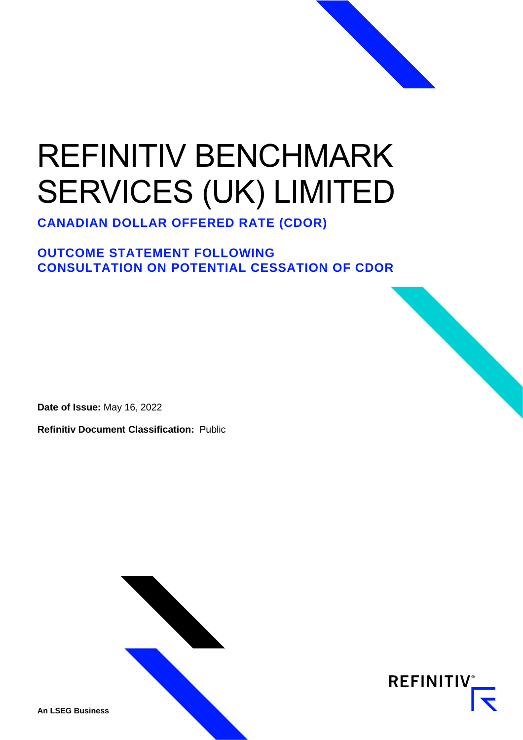# REFINITIV BENCHMARK SERVICES (UK) LIMITED

**CANADIAN DOLLAR OFFERED RATE (CDOR)**

### **OUTCOME STATEMENT FOLLOWING CONSULTATION ON POTENTIAL CESSATION OF CDOR**

**Date of Issue:** May 16, 2022

**Refinitiv Document Classification:** Public



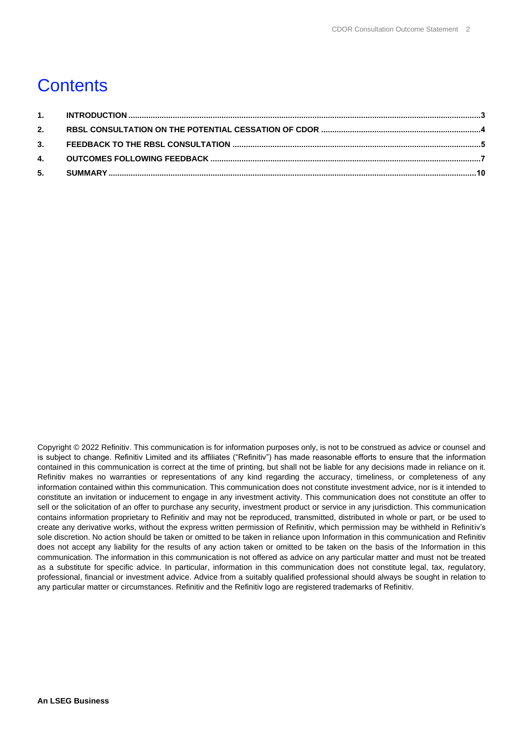### **Contents**

Copyright © 2022 Refinitiv. This communication is for information purposes only, is not to be construed as advice or counsel and is subject to change. Refinitiv Limited and its affiliates ("Refinitiv") has made reasonable efforts to ensure that the information contained in this communication is correct at the time of printing, but shall not be liable for any decisions made in reliance on it. Refinitiv makes no warranties or representations of any kind regarding the accuracy, timeliness, or completeness of any information contained within this communication. This communication does not constitute investment advice, nor is it intended to constitute an invitation or inducement to engage in any investment activity. This communication does not constitute an offer to sell or the solicitation of an offer to purchase any security, investment product or service in any jurisdiction. This communication contains information proprietary to Refinitiv and may not be reproduced, transmitted, distributed in whole or part, or be used to create any derivative works, without the express written permission of Refinitiv, which permission may be withheld in Refinitiv's sole discretion. No action should be taken or omitted to be taken in reliance upon Information in this communication and Refinitiv does not accept any liability for the results of any action taken or omitted to be taken on the basis of the Information in this communication. The information in this communication is not offered as advice on any particular matter and must not be treated as a substitute for specific advice. In particular, information in this communication does not constitute legal, tax, regulatory, professional, financial or investment advice. Advice from a suitably qualified professional should always be sought in relation to any particular matter or circumstances. Refinitiv and the Refinitiv logo are registered trademarks of Refinitiv.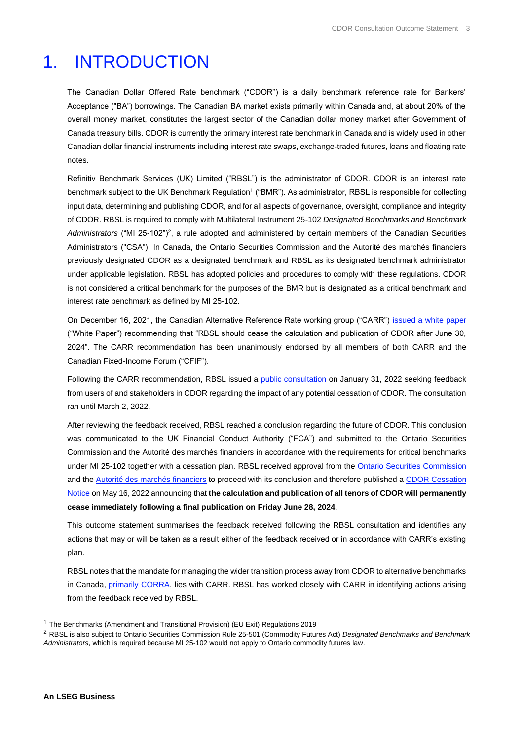### <span id="page-2-0"></span>1. INTRODUCTION

The Canadian Dollar Offered Rate benchmark ("CDOR") is a daily benchmark reference rate for Bankers' Acceptance ("BA") borrowings. The Canadian BA market exists primarily within Canada and, at about 20% of the overall money market, constitutes the largest sector of the Canadian dollar money market after Government of Canada treasury bills. CDOR is currently the primary interest rate benchmark in Canada and is widely used in other Canadian dollar financial instruments including interest rate swaps, exchange-traded futures, loans and floating rate notes.

Refinitiv Benchmark Services (UK) Limited ("RBSL") is the administrator of CDOR. CDOR is an interest rate benchmark subject to the UK Benchmark Regulation<sup>1</sup> ("BMR"). As administrator, RBSL is responsible for collecting input data, determining and publishing CDOR, and for all aspects of governance, oversight, compliance and integrity of CDOR. RBSL is required to comply with Multilateral Instrument 25-102 *Designated Benchmarks and Benchmark*  Administrators ("MI 25-102")<sup>2</sup>, a rule adopted and administered by certain members of the Canadian Securities Administrators ("CSA"). In Canada, the Ontario Securities Commission and the Autorité des marchés financiers previously designated CDOR as a designated benchmark and RBSL as its designated benchmark administrator under applicable legislation. RBSL has adopted policies and procedures to comply with these regulations. CDOR is not considered a critical benchmark for the purposes of the BMR but is designated as a critical benchmark and interest rate benchmark as defined by MI 25-102.

On December 16, 2021, the Canadian Alternative Reference Rate working group ("CARR") [issued a white paper](https://www.bankofcanada.ca/2021/12/carr-publishes-white-paper-recommended-future-cdor) ("White Paper") recommending that "RBSL should cease the calculation and publication of CDOR after June 30, 2024". The CARR recommendation has been unanimously endorsed by all members of both CARR and the Canadian Fixed-Income Forum ("CFIF").

Following the CARR recommendation, RBSL issued a [public consultation](https://www.refinitiv.com/content/dam/marketing/en_us/documents/methodology/future-of-cdor-consultation.pdf) on January 31, 2022 seeking feedback from users of and stakeholders in CDOR regarding the impact of any potential cessation of CDOR. The consultation ran until March 2, 2022.

After reviewing the feedback received, RBSL reached a conclusion regarding the future of CDOR. This conclusion was communicated to the UK Financial Conduct Authority ("FCA") and submitted to the Ontario Securities Commission and the Autorité des marchés financiers in accordance with the requirements for critical benchmarks under MI 25-102 together with a cessation plan. RBSL received approval from th[e Ontario Securities Commission](https://www.osc.ca/en/securities-law/orders-rulings-decisions/canadian-dollar-offered-rate-and-refinitiv-benchmark-services-uk-limited-1) and the [Autorité des marchés financiers](https://lautorite.qc.ca/en/professionals/market-structures/designated-benchmarks-and-benchmarks-administrators) to proceed with its conclusion and therefore published [a CDOR Cessation](https://www.refinitiv.com/content/dam/marketing/en_us/documents/methodology/cdor-cessation-notice.pdf)  [Notice](https://www.refinitiv.com/content/dam/marketing/en_us/documents/methodology/cdor-cessation-notice.pdf) on May 16, 2022 announcing that **the calculation and publication of all tenors of CDOR will permanently cease immediately following a final publication on Friday June 28, 2024**.

This outcome statement summarises the feedback received following the RBSL consultation and identifies any actions that may or will be taken as a result either of the feedback received or in accordance with CARR's existing plan.

RBSL notes that the mandate for managing the wider transition process away from CDOR to alternative benchmarks in Canada, [primarily CORRA,](https://www.bankofcanada.ca/rates/interest-rates/corra/) lies with CARR. RBSL has worked closely with CARR in identifying actions arising from the feedback received by RBSL.

<sup>1</sup> The Benchmarks (Amendment and Transitional Provision) (EU Exit) Regulations 2019

<sup>2</sup> RBSL is also subject to Ontario Securities Commission Rule 25-501 (Commodity Futures Act) *Designated Benchmarks and Benchmark Administrators*, which is required because MI 25-102 would not apply to Ontario commodity futures law.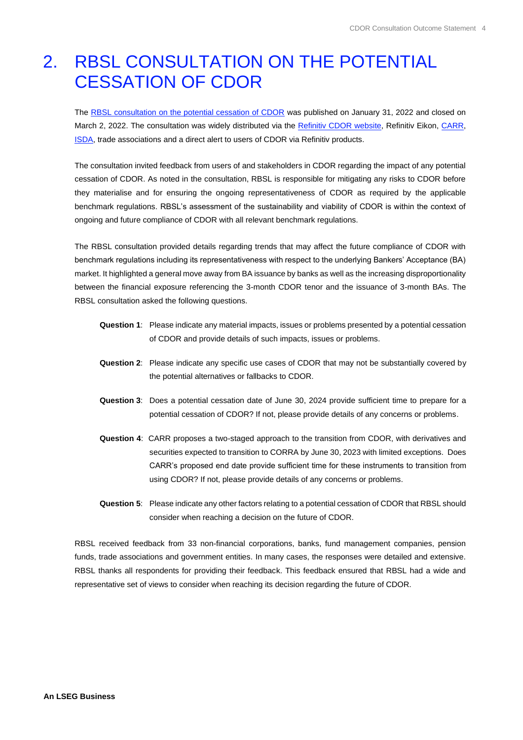### <span id="page-3-0"></span>2. RBSL CONSULTATION ON THE POTENTIAL CESSATION OF CDOR

The [RBSL consultation on the potential cessation of CDOR](https://www.refinitiv.com/content/dam/marketing/en_us/documents/methodology/future-of-cdor-consultation.pdf) was published on January 31, 2022 and closed on March 2, 2022. The consultation was widely distributed via the Refinitiv CDOR website. Refinitiv Eikon, [CARR,](https://www.bankofcanada.ca/2022/01/carr-welcomes-rbsl-consultation-potential-cessation-cdor/) [ISDA,](https://www.isda.org/2022/01/31/isda-statement-on-rbsl-consultation-on-cdor/) trade associations and a direct alert to users of CDOR via Refinitiv products.

The consultation invited feedback from users of and stakeholders in CDOR regarding the impact of any potential cessation of CDOR. As noted in the consultation, RBSL is responsible for mitigating any risks to CDOR before they materialise and for ensuring the ongoing representativeness of CDOR as required by the applicable benchmark regulations. RBSL's assessment of the sustainability and viability of CDOR is within the context of ongoing and future compliance of CDOR with all relevant benchmark regulations.

The RBSL consultation provided details regarding trends that may affect the future compliance of CDOR with benchmark regulations including its representativeness with respect to the underlying Bankers' Acceptance (BA) market. It highlighted a general move away from BA issuance by banks as well as the increasing disproportionality between the financial exposure referencing the 3-month CDOR tenor and the issuance of 3-month BAs. The RBSL consultation asked the following questions.

- **Question 1**: Please indicate any material impacts, issues or problems presented by a potential cessation of CDOR and provide details of such impacts, issues or problems.
- **Question 2**: Please indicate any specific use cases of CDOR that may not be substantially covered by the potential alternatives or fallbacks to CDOR.
- **Question 3**: Does a potential cessation date of June 30, 2024 provide sufficient time to prepare for a potential cessation of CDOR? If not, please provide details of any concerns or problems.
- **Question 4**: CARR proposes a two-staged approach to the transition from CDOR, with derivatives and securities expected to transition to CORRA by June 30, 2023 with limited exceptions. Does CARR's proposed end date provide sufficient time for these instruments to transition from using CDOR? If not, please provide details of any concerns or problems.
- **Question 5**: Please indicate any other factors relating to a potential cessation of CDOR that RBSL should consider when reaching a decision on the future of CDOR.

RBSL received feedback from 33 non-financial corporations, banks, fund management companies, pension funds, trade associations and government entities. In many cases, the responses were detailed and extensive. RBSL thanks all respondents for providing their feedback. This feedback ensured that RBSL had a wide and representative set of views to consider when reaching its decision regarding the future of CDOR.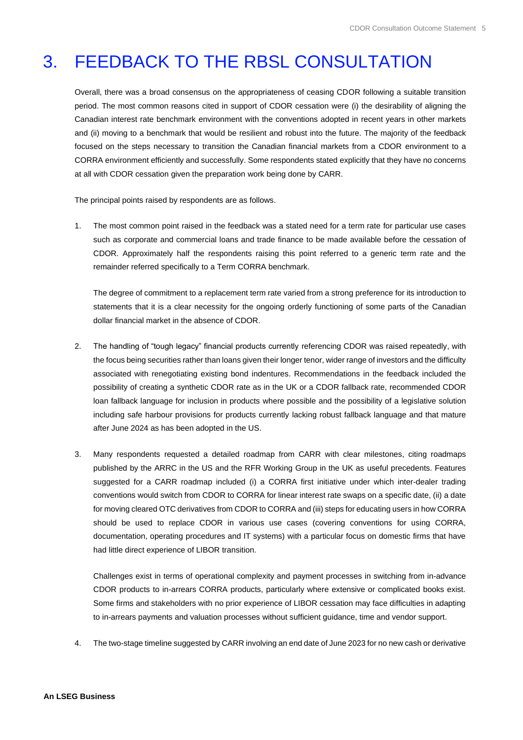## <span id="page-4-0"></span>3. FEEDBACK TO THE RBSL CONSULTATION

Overall, there was a broad consensus on the appropriateness of ceasing CDOR following a suitable transition period. The most common reasons cited in support of CDOR cessation were (i) the desirability of aligning the Canadian interest rate benchmark environment with the conventions adopted in recent years in other markets and (ii) moving to a benchmark that would be resilient and robust into the future. The majority of the feedback focused on the steps necessary to transition the Canadian financial markets from a CDOR environment to a CORRA environment efficiently and successfully. Some respondents stated explicitly that they have no concerns at all with CDOR cessation given the preparation work being done by CARR.

The principal points raised by respondents are as follows.

1. The most common point raised in the feedback was a stated need for a term rate for particular use cases such as corporate and commercial loans and trade finance to be made available before the cessation of CDOR. Approximately half the respondents raising this point referred to a generic term rate and the remainder referred specifically to a Term CORRA benchmark.

The degree of commitment to a replacement term rate varied from a strong preference for its introduction to statements that it is a clear necessity for the ongoing orderly functioning of some parts of the Canadian dollar financial market in the absence of CDOR.

- 2. The handling of "tough legacy" financial products currently referencing CDOR was raised repeatedly, with the focus being securities rather than loans given their longer tenor, wider range of investors and the difficulty associated with renegotiating existing bond indentures. Recommendations in the feedback included the possibility of creating a synthetic CDOR rate as in the UK or a CDOR fallback rate, recommended CDOR loan fallback language for inclusion in products where possible and the possibility of a legislative solution including safe harbour provisions for products currently lacking robust fallback language and that mature after June 2024 as has been adopted in the US.
- 3. Many respondents requested a detailed roadmap from CARR with clear milestones, citing roadmaps published by the ARRC in the US and the RFR Working Group in the UK as useful precedents. Features suggested for a CARR roadmap included (i) a CORRA first initiative under which inter-dealer trading conventions would switch from CDOR to CORRA for linear interest rate swaps on a specific date, (ii) a date for moving cleared OTC derivatives from CDOR to CORRA and (iii) steps for educating users in how CORRA should be used to replace CDOR in various use cases (covering conventions for using CORRA, documentation, operating procedures and IT systems) with a particular focus on domestic firms that have had little direct experience of LIBOR transition.

Challenges exist in terms of operational complexity and payment processes in switching from in-advance CDOR products to in-arrears CORRA products, particularly where extensive or complicated books exist. Some firms and stakeholders with no prior experience of LIBOR cessation may face difficulties in adapting to in-arrears payments and valuation processes without sufficient guidance, time and vendor support.

4. The two-stage timeline suggested by CARR involving an end date of June 2023 for no new cash or derivative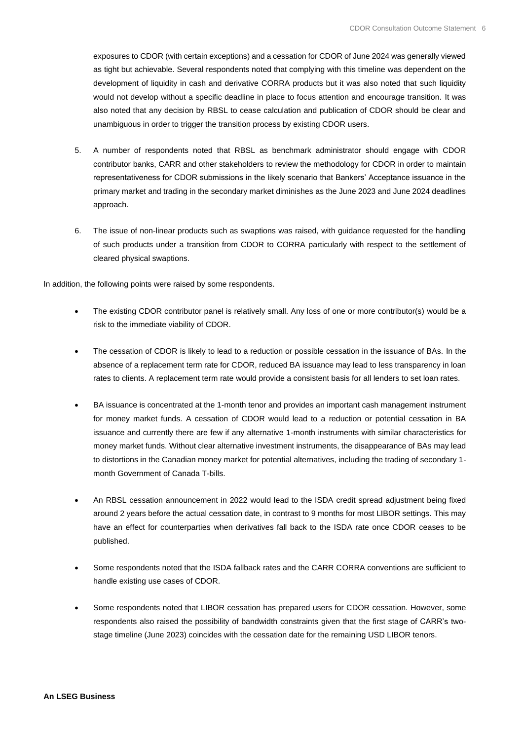exposures to CDOR (with certain exceptions) and a cessation for CDOR of June 2024 was generally viewed as tight but achievable. Several respondents noted that complying with this timeline was dependent on the development of liquidity in cash and derivative CORRA products but it was also noted that such liquidity would not develop without a specific deadline in place to focus attention and encourage transition. It was also noted that any decision by RBSL to cease calculation and publication of CDOR should be clear and unambiguous in order to trigger the transition process by existing CDOR users.

- 5. A number of respondents noted that RBSL as benchmark administrator should engage with CDOR contributor banks, CARR and other stakeholders to review the methodology for CDOR in order to maintain representativeness for CDOR submissions in the likely scenario that Bankers' Acceptance issuance in the primary market and trading in the secondary market diminishes as the June 2023 and June 2024 deadlines approach.
- 6. The issue of non-linear products such as swaptions was raised, with guidance requested for the handling of such products under a transition from CDOR to CORRA particularly with respect to the settlement of cleared physical swaptions.

In addition, the following points were raised by some respondents.

- The existing CDOR contributor panel is relatively small. Any loss of one or more contributor(s) would be a risk to the immediate viability of CDOR.
- The cessation of CDOR is likely to lead to a reduction or possible cessation in the issuance of BAs. In the absence of a replacement term rate for CDOR, reduced BA issuance may lead to less transparency in loan rates to clients. A replacement term rate would provide a consistent basis for all lenders to set loan rates.
- BA issuance is concentrated at the 1-month tenor and provides an important cash management instrument for money market funds. A cessation of CDOR would lead to a reduction or potential cessation in BA issuance and currently there are few if any alternative 1-month instruments with similar characteristics for money market funds. Without clear alternative investment instruments, the disappearance of BAs may lead to distortions in the Canadian money market for potential alternatives, including the trading of secondary 1 month Government of Canada T-bills.
- An RBSL cessation announcement in 2022 would lead to the ISDA credit spread adjustment being fixed around 2 years before the actual cessation date, in contrast to 9 months for most LIBOR settings. This may have an effect for counterparties when derivatives fall back to the ISDA rate once CDOR ceases to be published.
- Some respondents noted that the ISDA fallback rates and the CARR CORRA conventions are sufficient to handle existing use cases of CDOR.
- Some respondents noted that LIBOR cessation has prepared users for CDOR cessation. However, some respondents also raised the possibility of bandwidth constraints given that the first stage of CARR's twostage timeline (June 2023) coincides with the cessation date for the remaining USD LIBOR tenors.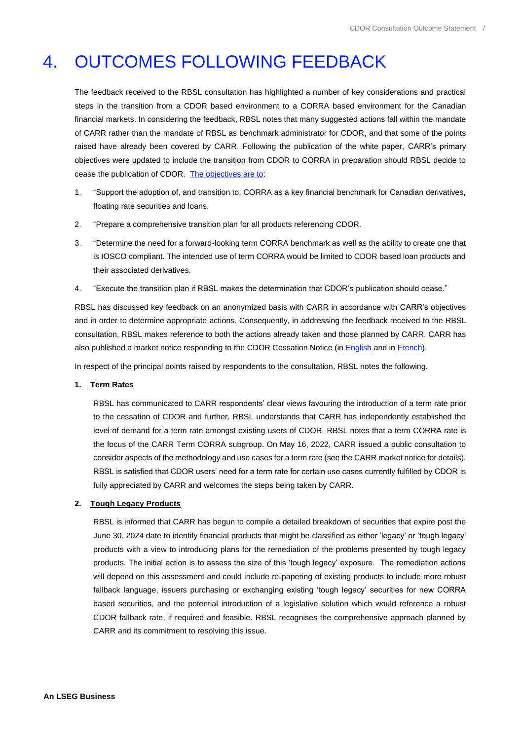### <span id="page-6-0"></span>4. OUTCOMES FOLLOWING FEEDBACK

The feedback received to the RBSL consultation has highlighted a number of key considerations and practical steps in the transition from a CDOR based environment to a CORRA based environment for the Canadian financial markets. In considering the feedback, RBSL notes that many suggested actions fall within the mandate of CARR rather than the mandate of RBSL as benchmark administrator for CDOR, and that some of the points raised have already been covered by CARR. Following the publication of the white paper, CARR's primary objectives were updated to include the transition from CDOR to CORRA in preparation should RBSL decide to cease the publication of CDOR. [The objectives are to:](https://www.bankofcanada.ca/wp-content/uploads/2018/04/canadian-alternative-reference-rate-working-group-terms-reference.pdf)

- 1. "Support the adoption of, and transition to, CORRA as a key financial benchmark for Canadian derivatives, floating rate securities and loans.
- 2. "Prepare a comprehensive transition plan for all products referencing CDOR.
- 3. "Determine the need for a forward-looking term CORRA benchmark as well as the ability to create one that is IOSCO compliant. The intended use of term CORRA would be limited to CDOR based loan products and their associated derivatives.
- 4. "Execute the transition plan if RBSL makes the determination that CDOR's publication should cease."

RBSL has discussed key feedback on an anonymized basis with CARR in accordance with CARR's objectives and in order to determine appropriate actions. Consequently, in addressing the feedback received to the RBSL consultation, RBSL makes reference to both the actions already taken and those planned by CARR. CARR has also published a market notice responding to the CDOR Cessation Notice (in [English](https://www.bankofcanada.ca/?p=226632) and in [French\)](https://www.banqueducanada.ca/?p=226635).

In respect of the principal points raised by respondents to the consultation, RBSL notes the following.

#### **1. Term Rates**

RBSL has communicated to CARR respondents' clear views favouring the introduction of a term rate prior to the cessation of CDOR and further, RBSL understands that CARR has independently established the level of demand for a term rate amongst existing users of CDOR. RBSL notes that a term CORRA rate is the focus of the CARR Term CORRA subgroup. On May 16, 2022, CARR issued a public consultation to consider aspects of the methodology and use cases for a term rate (see the CARR market notice for details). RBSL is satisfied that CDOR users' need for a term rate for certain use cases currently fulfilled by CDOR is fully appreciated by CARR and welcomes the steps being taken by CARR.

#### **2. Tough Legacy Products**

RBSL is informed that CARR has begun to compile a detailed breakdown of securities that expire post the June 30, 2024 date to identify financial products that might be classified as either 'legacy' or 'tough legacy' products with a view to introducing plans for the remediation of the problems presented by tough legacy products. The initial action is to assess the size of this 'tough legacy' exposure. The remediation actions will depend on this assessment and could include re-papering of existing products to include more robust fallback language, issuers purchasing or exchanging existing 'tough legacy' securities for new CORRA based securities, and the potential introduction of a legislative solution which would reference a robust CDOR fallback rate, if required and feasible. RBSL recognises the comprehensive approach planned by CARR and its commitment to resolving this issue.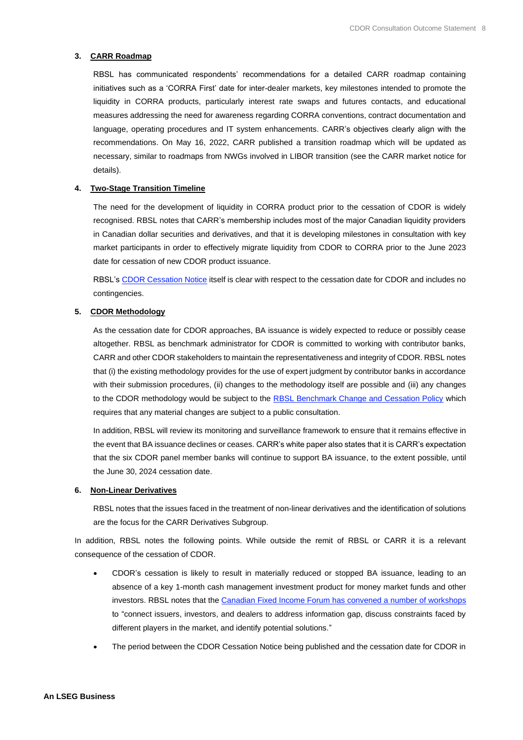#### **3. CARR Roadmap**

RBSL has communicated respondents' recommendations for a detailed CARR roadmap containing initiatives such as a 'CORRA First' date for inter-dealer markets, key milestones intended to promote the liquidity in CORRA products, particularly interest rate swaps and futures contacts, and educational measures addressing the need for awareness regarding CORRA conventions, contract documentation and language, operating procedures and IT system enhancements. CARR's objectives clearly align with the recommendations. On May 16, 2022, CARR published a transition roadmap which will be updated as necessary, similar to roadmaps from NWGs involved in LIBOR transition (see the CARR market notice for details).

#### **4. Two-Stage Transition Timeline**

The need for the development of liquidity in CORRA product prior to the cessation of CDOR is widely recognised. RBSL notes that CARR's membership includes most of the major Canadian liquidity providers in Canadian dollar securities and derivatives, and that it is developing milestones in consultation with key market participants in order to effectively migrate liquidity from CDOR to CORRA prior to the June 2023 date for cessation of new CDOR product issuance.

RBSL'[s CDOR Cessation Notice](https://www.refinitiv.com/content/dam/marketing/en_us/documents/methodology/cdor-cessation-notice.pdf) itself is clear with respect to the cessation date for CDOR and includes no contingencies.

#### **5. CDOR Methodology**

As the cessation date for CDOR approaches, BA issuance is widely expected to reduce or possibly cease altogether. RBSL as benchmark administrator for CDOR is committed to working with contributor banks, CARR and other CDOR stakeholders to maintain the representativeness and integrity of CDOR. RBSL notes that (i) the existing methodology provides for the use of expert judgment by contributor banks in accordance with their submission procedures, (ii) changes to the methodology itself are possible and (iii) any changes to the CDOR methodology would be subject to the [RBSL Benchmark Change and Cessation Policy](https://www.refinitiv.com/content/dam/marketing/en_us/documents/methodology/rbsl-benchmark-methodology-change-cessation-policy.pdf) which requires that any material changes are subject to a public consultation.

In addition, RBSL will review its monitoring and surveillance framework to ensure that it remains effective in the event that BA issuance declines or ceases. CARR's white paper also states that it is CARR's expectation that the six CDOR panel member banks will continue to support BA issuance, to the extent possible, until the June 30, 2024 cessation date.

#### **6. Non-Linear Derivatives**

RBSL notes that the issues faced in the treatment of non-linear derivatives and the identification of solutions are the focus for the CARR Derivatives Subgroup.

In addition, RBSL notes the following points. While outside the remit of RBSL or CARR it is a relevant consequence of the cessation of CDOR.

- CDOR's cessation is likely to result in materially reduced or stopped BA issuance, leading to an absence of a key 1-month cash management investment product for money market funds and other investors. RBSL notes that th[e Canadian Fixed Income Forum has convened a number of workshops](https://www.bankofcanada.ca/wp-content/uploads/2022/03/CFIF-Meeting-Minutes-February-17-2022.pdf) to "connect issuers, investors, and dealers to address information gap, discuss constraints faced by different players in the market, and identify potential solutions."
- The period between the CDOR Cessation Notice being published and the cessation date for CDOR in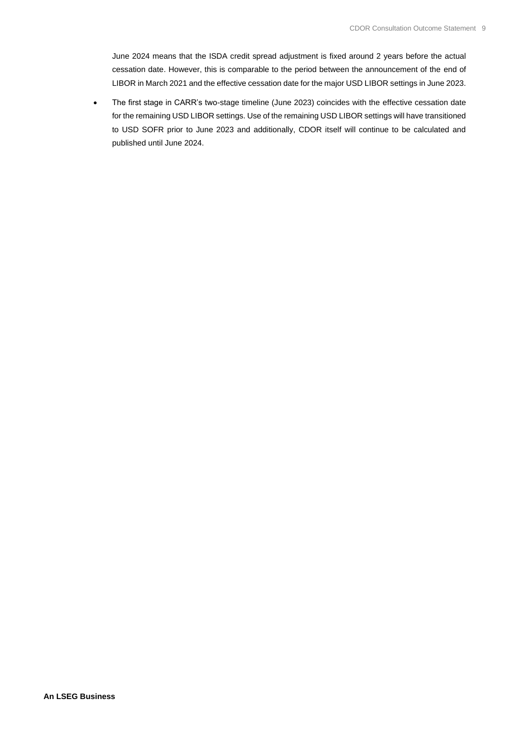June 2024 means that the ISDA credit spread adjustment is fixed around 2 years before the actual cessation date. However, this is comparable to the period between the announcement of the end of LIBOR in March 2021 and the effective cessation date for the major USD LIBOR settings in June 2023.

• The first stage in CARR's two-stage timeline (June 2023) coincides with the effective cessation date for the remaining USD LIBOR settings. Use of the remaining USD LIBOR settings will have transitioned to USD SOFR prior to June 2023 and additionally, CDOR itself will continue to be calculated and published until June 2024.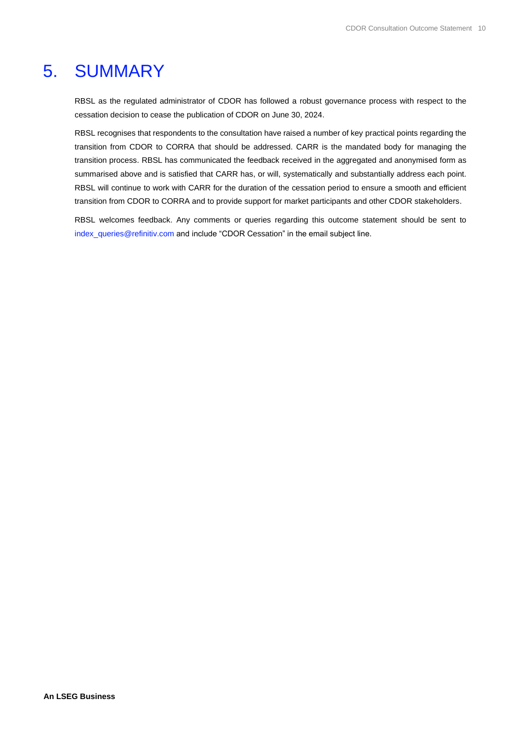### <span id="page-9-0"></span>5. SUMMARY

RBSL as the regulated administrator of CDOR has followed a robust governance process with respect to the cessation decision to cease the publication of CDOR on June 30, 2024.

RBSL recognises that respondents to the consultation have raised a number of key practical points regarding the transition from CDOR to CORRA that should be addressed. CARR is the mandated body for managing the transition process. RBSL has communicated the feedback received in the aggregated and anonymised form as summarised above and is satisfied that CARR has, or will, systematically and substantially address each point. RBSL will continue to work with CARR for the duration of the cessation period to ensure a smooth and efficient transition from CDOR to CORRA and to provide support for market participants and other CDOR stakeholders.

RBSL welcomes feedback. Any comments or queries regarding this outcome statement should be sent to [index\\_queries@refinitiv.com](mailto:index_queries@refinitiv.com) and include "CDOR Cessation" in the email subject line.